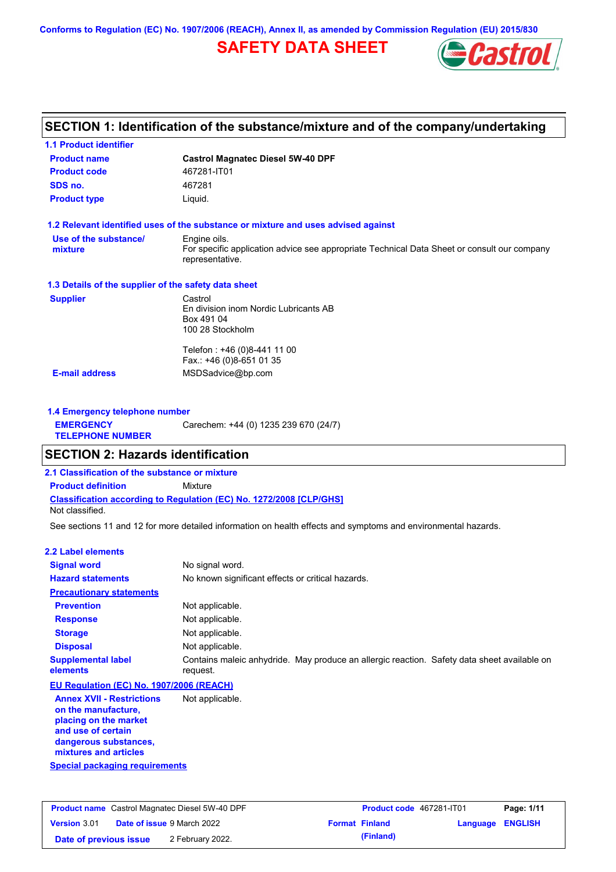**Conforms to Regulation (EC) No. 1907/2006 (REACH), Annex II, as amended by Commission Regulation (EU) 2015/830**

## **SAFETY DATA SHEET**



# **SECTION 1: Identification of the substance/mixture and of the company/undertaking**

| <b>1.1 Product identifier</b>                        |                                                                                                                                |
|------------------------------------------------------|--------------------------------------------------------------------------------------------------------------------------------|
| <b>Product name</b>                                  | <b>Castrol Magnatec Diesel 5W-40 DPF</b>                                                                                       |
| <b>Product code</b>                                  | 467281-IT01                                                                                                                    |
| SDS no.                                              | 467281                                                                                                                         |
| <b>Product type</b>                                  | Liquid.                                                                                                                        |
|                                                      | 1.2 Relevant identified uses of the substance or mixture and uses advised against                                              |
| Use of the substance/<br>mixture                     | Engine oils.<br>For specific application advice see appropriate Technical Data Sheet or consult our company<br>representative. |
| 1.3 Details of the supplier of the safety data sheet |                                                                                                                                |
| <b>Supplier</b>                                      | Castrol<br>En division inom Nordic Lubricants AB<br>Box 491 04<br>100 28 Stockholm                                             |
|                                                      | Telefon: +46 (0)8-441 11 00<br>Fax.: +46 (0)8-651 01 35                                                                        |
| <b>E-mail address</b>                                | MSDSadvice@bp.com                                                                                                              |
| 1.4 Emergency telephone number                       |                                                                                                                                |
| <b>EMERGENCY</b><br><b>TELEPHONE NUMBER</b>          | Carechem: +44 (0) 1235 239 670 (24/7)                                                                                          |
| <b>SECTION 2: Hazards identification</b>             |                                                                                                                                |
| 2.1 Classification of the substance or mixture       |                                                                                                                                |
| <b>Product definition</b>                            | Mixture                                                                                                                        |
| Not classified.                                      | <b>Classification according to Regulation (EC) No. 1272/2008 [CLP/GHS]</b>                                                     |
|                                                      | See sections 11 and 12 for more detailed information on health effects and symptoms and environmental hazards.                 |

#### **2.2 Label elements**

| <b>Signal word</b>                                                                                     | No signal word.                                                                                         |
|--------------------------------------------------------------------------------------------------------|---------------------------------------------------------------------------------------------------------|
| <b>Hazard statements</b>                                                                               | No known significant effects or critical hazards.                                                       |
| <b>Precautionary statements</b>                                                                        |                                                                                                         |
| <b>Prevention</b>                                                                                      | Not applicable.                                                                                         |
| <b>Response</b>                                                                                        | Not applicable.                                                                                         |
| <b>Storage</b>                                                                                         | Not applicable.                                                                                         |
| <b>Disposal</b>                                                                                        | Not applicable.                                                                                         |
| <b>Supplemental label</b><br>elements                                                                  | Contains maleic anhydride. May produce an allergic reaction. Safety data sheet available on<br>request. |
| EU Regulation (EC) No. 1907/2006 (REACH)                                                               |                                                                                                         |
| <b>Annex XVII - Restrictions</b><br>on the manufacture.<br>placing on the market<br>and use of certain | Not applicable.                                                                                         |

**Special packaging requirements dangerous substances, mixtures and articles**

| <b>Product name</b> Castrol Magnatec Diesel 5W-40 DPF |  | <b>Product code</b> 467281-IT01   |  | Page: 1/11            |                         |  |
|-------------------------------------------------------|--|-----------------------------------|--|-----------------------|-------------------------|--|
| <b>Version 3.01</b>                                   |  | <b>Date of issue 9 March 2022</b> |  | <b>Format Finland</b> | <b>Language ENGLISH</b> |  |
| Date of previous issue                                |  | 2 February 2022.                  |  | (Finland)             |                         |  |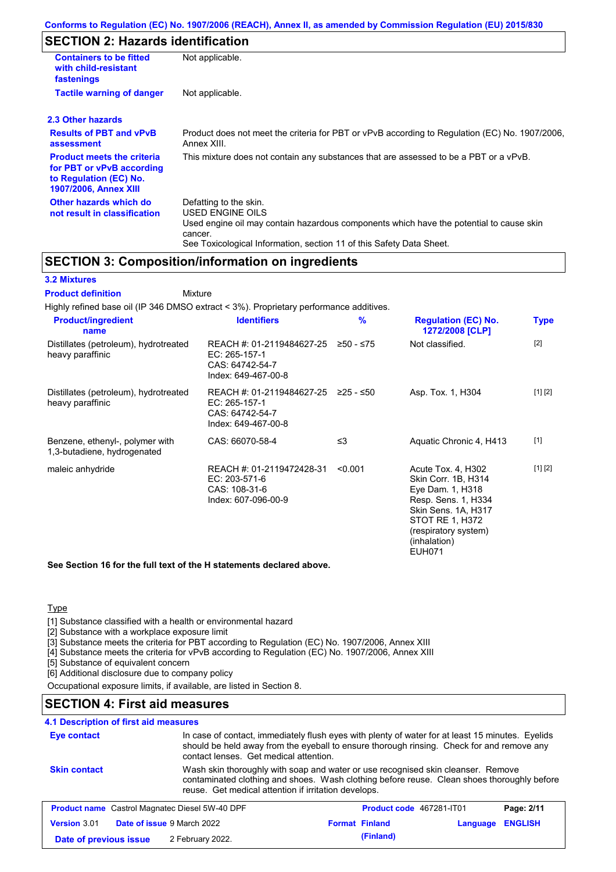## **SECTION 2: Hazards identification**

| <b>Containers to be fitted</b><br>with child-resistant<br>fastenings                                                     | Not applicable.                                                                                                                                                                                                          |
|--------------------------------------------------------------------------------------------------------------------------|--------------------------------------------------------------------------------------------------------------------------------------------------------------------------------------------------------------------------|
| <b>Tactile warning of danger</b>                                                                                         | Not applicable.                                                                                                                                                                                                          |
| 2.3 Other hazards                                                                                                        |                                                                                                                                                                                                                          |
| <b>Results of PBT and vPvB</b><br>assessment                                                                             | Product does not meet the criteria for PBT or vPvB according to Regulation (EC) No. 1907/2006,<br>Annex XIII.                                                                                                            |
| <b>Product meets the criteria</b><br>for PBT or vPvB according<br>to Regulation (EC) No.<br><b>1907/2006, Annex XIII</b> | This mixture does not contain any substances that are assessed to be a PBT or a vPvB.                                                                                                                                    |
| Other hazards which do<br>not result in classification                                                                   | Defatting to the skin.<br>USED ENGINE OILS<br>Used engine oil may contain hazardous components which have the potential to cause skin<br>cancer.<br>See Toxicological Information, section 11 of this Safety Data Sheet. |

## **SECTION 3: Composition/information on ingredients**

#### **3.2 Mixtures**

Mixture **Product definition**

| <b>Product/ingredient</b><br>name                              | <b>Identifiers</b>                                                                   | $\%$      | <b>Regulation (EC) No.</b><br>1272/2008 [CLP]                                                                                                                                           | <b>Type</b> |
|----------------------------------------------------------------|--------------------------------------------------------------------------------------|-----------|-----------------------------------------------------------------------------------------------------------------------------------------------------------------------------------------|-------------|
| Distillates (petroleum), hydrotreated<br>heavy paraffinic      | REACH #: 01-2119484627-25<br>EC: 265-157-1<br>CAS: 64742-54-7<br>Index: 649-467-00-8 | ≥50 - ≤75 | Not classified.                                                                                                                                                                         | $[2]$       |
| Distillates (petroleum), hydrotreated<br>heavy paraffinic      | REACH #: 01-2119484627-25<br>EC: 265-157-1<br>CAS: 64742-54-7<br>Index: 649-467-00-8 | 225 - ≤50 | Asp. Tox. 1, H304                                                                                                                                                                       | [1] [2]     |
| Benzene, ethenyl-, polymer with<br>1,3-butadiene, hydrogenated | CAS: 66070-58-4                                                                      | ≤3        | Aquatic Chronic 4, H413                                                                                                                                                                 | $[1]$       |
| maleic anhydride                                               | REACH #: 01-2119472428-31<br>EC: 203-571-6<br>CAS: 108-31-6<br>Index: 607-096-00-9   | < 0.001   | Acute Tox. 4, H302<br>Skin Corr. 1B, H314<br>Eye Dam. 1, H318<br>Resp. Sens. 1, H334<br>Skin Sens. 1A, H317<br>STOT RE 1, H372<br>(respiratory system)<br>(inhalation)<br><b>EUH071</b> | [1] [2]     |

**See Section 16 for the full text of the H statements declared above.**

#### **Type**

[1] Substance classified with a health or environmental hazard

[2] Substance with a workplace exposure limit

[3] Substance meets the criteria for PBT according to Regulation (EC) No. 1907/2006, Annex XIII

[4] Substance meets the criteria for vPvB according to Regulation (EC) No. 1907/2006, Annex XIII

[5] Substance of equivalent concern

[6] Additional disclosure due to company policy

Occupational exposure limits, if available, are listed in Section 8.

## **SECTION 4: First aid measures**

## **4.1 Description of first aid measures**

| Eye contact                                           |                            | In case of contact, immediately flush eyes with plenty of water for at least 15 minutes. Eyelids<br>should be held away from the eyeball to ensure thorough rinsing. Check for and remove any<br>contact lenses. Get medical attention. |          |                |  |
|-------------------------------------------------------|----------------------------|-----------------------------------------------------------------------------------------------------------------------------------------------------------------------------------------------------------------------------------------|----------|----------------|--|
| <b>Skin contact</b>                                   |                            | Wash skin thoroughly with soap and water or use recognised skin cleanser. Remove<br>contaminated clothing and shoes. Wash clothing before reuse. Clean shoes thoroughly before<br>reuse. Get medical attention if irritation develops.  |          |                |  |
| <b>Product name</b> Castrol Magnatec Diesel 5W-40 DPF |                            | <b>Product code</b> 467281-IT01                                                                                                                                                                                                         |          | Page: 2/11     |  |
| <b>Version 3.01</b>                                   | Date of issue 9 March 2022 | <b>Format Finland</b>                                                                                                                                                                                                                   | Language | <b>ENGLISH</b> |  |
| Date of previous issue                                | 2 February 2022.           | (Finland)                                                                                                                                                                                                                               |          |                |  |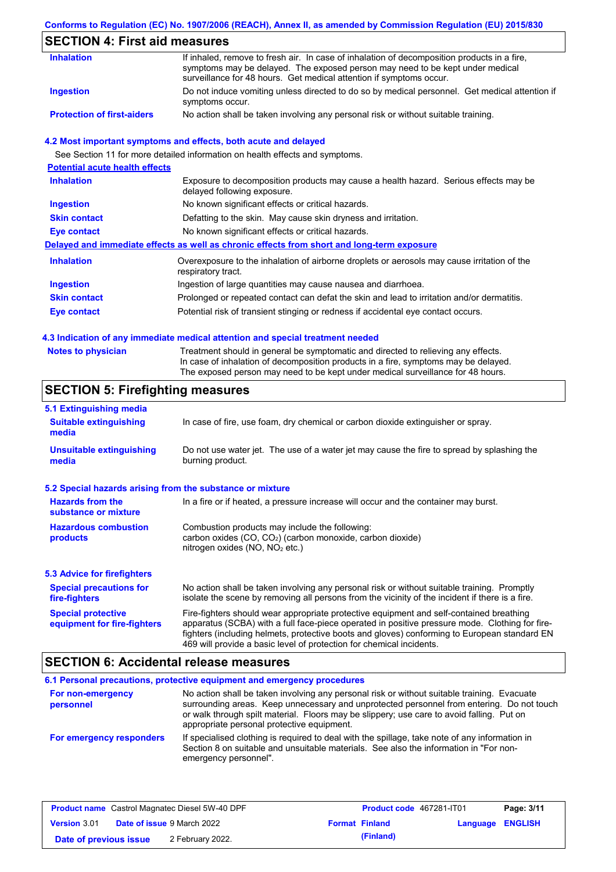### **Conforms to Regulation (EC) No. 1907/2006 (REACH), Annex II, as amended by Commission Regulation (EU) 2015/830**

## **SECTION 4: First aid measures**

| <b>Inhalation</b>                 | If inhaled, remove to fresh air. In case of inhalation of decomposition products in a fire,<br>symptoms may be delayed. The exposed person may need to be kept under medical<br>surveillance for 48 hours. Get medical attention if symptoms occur. |
|-----------------------------------|-----------------------------------------------------------------------------------------------------------------------------------------------------------------------------------------------------------------------------------------------------|
| Ingestion                         | Do not induce vomiting unless directed to do so by medical personnel. Get medical attention if<br>symptoms occur.                                                                                                                                   |
| <b>Protection of first-aiders</b> | No action shall be taken involving any personal risk or without suitable training.                                                                                                                                                                  |

#### **4.2 Most important symptoms and effects, both acute and delayed**

See Section 11 for more detailed information on health effects and symptoms.

| <b>Potential acute health effects</b> |                                                                                                                     |
|---------------------------------------|---------------------------------------------------------------------------------------------------------------------|
| <b>Inhalation</b>                     | Exposure to decomposition products may cause a health hazard. Serious effects may be<br>delayed following exposure. |
| <b>Ingestion</b>                      | No known significant effects or critical hazards.                                                                   |
| <b>Skin contact</b>                   | Defatting to the skin. May cause skin dryness and irritation.                                                       |
| Eye contact                           | No known significant effects or critical hazards.                                                                   |
|                                       | Delayed and immediate effects as well as chronic effects from short and long-term exposure                          |
| <b>Inhalation</b>                     | Overexposure to the inhalation of airborne droplets or aerosols may cause irritation of the<br>respiratory tract.   |
| <b>Ingestion</b>                      | Ingestion of large quantities may cause nausea and diarrhoea.                                                       |
| <b>Skin contact</b>                   | Prolonged or repeated contact can defat the skin and lead to irritation and/or dermatitis.                          |
| Eye contact                           | Potential risk of transient stinging or redness if accidental eye contact occurs.                                   |
|                                       |                                                                                                                     |

#### **4.3 Indication of any immediate medical attention and special treatment needed**

| <b>Notes to physician</b> | Treatment should in general be symptomatic and directed to relieving any effects.   |
|---------------------------|-------------------------------------------------------------------------------------|
|                           | In case of inhalation of decomposition products in a fire, symptoms may be delayed. |
|                           | The exposed person may need to be kept under medical surveillance for 48 hours.     |

## **SECTION 5: Firefighting measures**

| 5.1 Extinguishing media                                   |                                                                                                                                                                                                                                                                                                                                                                   |
|-----------------------------------------------------------|-------------------------------------------------------------------------------------------------------------------------------------------------------------------------------------------------------------------------------------------------------------------------------------------------------------------------------------------------------------------|
| <b>Suitable extinguishing</b><br>media                    | In case of fire, use foam, dry chemical or carbon dioxide extinguisher or spray.                                                                                                                                                                                                                                                                                  |
| <b>Unsuitable extinguishing</b><br>media                  | Do not use water jet. The use of a water jet may cause the fire to spread by splashing the<br>burning product.                                                                                                                                                                                                                                                    |
| 5.2 Special hazards arising from the substance or mixture |                                                                                                                                                                                                                                                                                                                                                                   |
| <b>Hazards from the</b><br>substance or mixture           | In a fire or if heated, a pressure increase will occur and the container may burst.                                                                                                                                                                                                                                                                               |
| <b>Hazardous combustion</b><br>products                   | Combustion products may include the following:<br>carbon oxides $(CO, CO2)$ (carbon monoxide, carbon dioxide)<br>nitrogen oxides ( $NO$ , $NO2$ etc.)                                                                                                                                                                                                             |
| <b>5.3 Advice for firefighters</b>                        |                                                                                                                                                                                                                                                                                                                                                                   |
| <b>Special precautions for</b><br>fire-fighters           | No action shall be taken involving any personal risk or without suitable training. Promptly<br>isolate the scene by removing all persons from the vicinity of the incident if there is a fire.                                                                                                                                                                    |
| <b>Special protective</b><br>equipment for fire-fighters  | Fire-fighters should wear appropriate protective equipment and self-contained breathing<br>apparatus (SCBA) with a full face-piece operated in positive pressure mode. Clothing for fire-<br>fighters (including helmets, protective boots and gloves) conforming to European standard EN<br>469 will provide a basic level of protection for chemical incidents. |

## **SECTION 6: Accidental release measures**

|                                | 6.1 Personal precautions, protective equipment and emergency procedures                                                                                                                                                                                                                                                             |
|--------------------------------|-------------------------------------------------------------------------------------------------------------------------------------------------------------------------------------------------------------------------------------------------------------------------------------------------------------------------------------|
| For non-emergency<br>personnel | No action shall be taken involving any personal risk or without suitable training. Evacuate<br>surrounding areas. Keep unnecessary and unprotected personnel from entering. Do not touch<br>or walk through spilt material. Floors may be slippery; use care to avoid falling. Put on<br>appropriate personal protective equipment. |
| For emergency responders       | If specialised clothing is required to deal with the spillage, take note of any information in<br>Section 8 on suitable and unsuitable materials. See also the information in "For non-<br>emergency personnel".                                                                                                                    |

| <b>Product name</b> Castrol Magnatec Diesel 5W-40 DPF |  | <b>Product code</b> 467281-IT01   |  | Page: 3/11            |                  |  |
|-------------------------------------------------------|--|-----------------------------------|--|-----------------------|------------------|--|
| <b>Version 3.01</b>                                   |  | <b>Date of issue 9 March 2022</b> |  | <b>Format Finland</b> | Language ENGLISH |  |
| Date of previous issue                                |  | 2 February 2022.                  |  | (Finland)             |                  |  |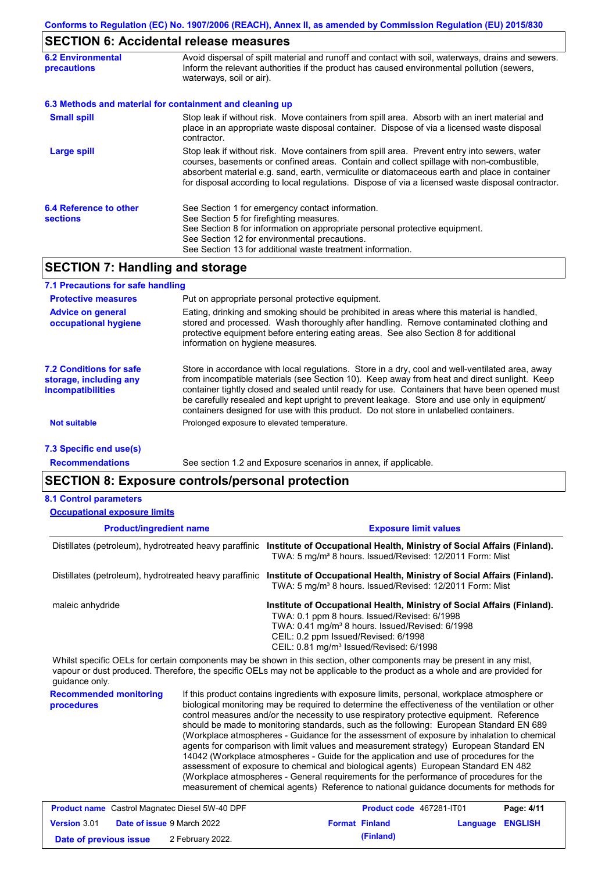### **SECTION 6: Accidental release measures**

| <b>6.2 Environmental</b><br>precautions   | Avoid dispersal of spilt material and runoff and contact with soil, waterways, drains and sewers.<br>Inform the relevant authorities if the product has caused environmental pollution (sewers,<br>waterways, soil or air).                                                                                                                                                                    |
|-------------------------------------------|------------------------------------------------------------------------------------------------------------------------------------------------------------------------------------------------------------------------------------------------------------------------------------------------------------------------------------------------------------------------------------------------|
|                                           | 6.3 Methods and material for containment and cleaning up                                                                                                                                                                                                                                                                                                                                       |
| <b>Small spill</b>                        | Stop leak if without risk. Move containers from spill area. Absorb with an inert material and<br>place in an appropriate waste disposal container. Dispose of via a licensed waste disposal<br>contractor.                                                                                                                                                                                     |
| <b>Large spill</b>                        | Stop leak if without risk. Move containers from spill area. Prevent entry into sewers, water<br>courses, basements or confined areas. Contain and collect spillage with non-combustible,<br>absorbent material e.g. sand, earth, vermiculite or diatomaceous earth and place in container<br>for disposal according to local regulations. Dispose of via a licensed waste disposal contractor. |
| 6.4 Reference to other<br><b>sections</b> | See Section 1 for emergency contact information.<br>See Section 5 for firefighting measures.<br>See Section 8 for information on appropriate personal protective equipment.<br>See Section 12 for environmental precautions.<br>See Section 13 for additional waste treatment information.                                                                                                     |

## **SECTION 7: Handling and storage**

| 7.1 Precautions for safe handling                                             |                                                                                                                                                                                                                                                                                                                                                                                                                                                                                          |
|-------------------------------------------------------------------------------|------------------------------------------------------------------------------------------------------------------------------------------------------------------------------------------------------------------------------------------------------------------------------------------------------------------------------------------------------------------------------------------------------------------------------------------------------------------------------------------|
| <b>Protective measures</b>                                                    | Put on appropriate personal protective equipment.                                                                                                                                                                                                                                                                                                                                                                                                                                        |
| <b>Advice on general</b><br>occupational hygiene                              | Eating, drinking and smoking should be prohibited in areas where this material is handled,<br>stored and processed. Wash thoroughly after handling. Remove contaminated clothing and<br>protective equipment before entering eating areas. See also Section 8 for additional<br>information on hygiene measures.                                                                                                                                                                         |
| 7.2 Conditions for safe<br>storage, including any<br><i>incompatibilities</i> | Store in accordance with local requlations. Store in a dry, cool and well-ventilated area, away<br>from incompatible materials (see Section 10). Keep away from heat and direct sunlight. Keep<br>container tightly closed and sealed until ready for use. Containers that have been opened must<br>be carefully resealed and kept upright to prevent leakage. Store and use only in equipment/<br>containers designed for use with this product. Do not store in unlabelled containers. |
| <b>Not suitable</b>                                                           | Prolonged exposure to elevated temperature.                                                                                                                                                                                                                                                                                                                                                                                                                                              |
| 7.3 Specific end use(s)                                                       |                                                                                                                                                                                                                                                                                                                                                                                                                                                                                          |

**Recommendations**

See section 1.2 and Exposure scenarios in annex, if applicable.

### **SECTION 8: Exposure controls/personal protection**

#### **8.1 Control parameters**

| <b>Occupational exposure limits</b>                    |                                                                                                                                                                                                                                                                                       |
|--------------------------------------------------------|---------------------------------------------------------------------------------------------------------------------------------------------------------------------------------------------------------------------------------------------------------------------------------------|
| <b>Product/ingredient name</b>                         | <b>Exposure limit values</b>                                                                                                                                                                                                                                                          |
| Distillates (petroleum), hydrotreated heavy paraffinic | Institute of Occupational Health, Ministry of Social Affairs (Finland).<br>TWA: 5 mg/m <sup>3</sup> 8 hours. Issued/Revised: 12/2011 Form: Mist                                                                                                                                       |
| Distillates (petroleum), hydrotreated heavy paraffinic | Institute of Occupational Health, Ministry of Social Affairs (Finland).<br>TWA: 5 mg/m <sup>3</sup> 8 hours. Issued/Revised: 12/2011 Form: Mist                                                                                                                                       |
| maleic anhydride                                       | Institute of Occupational Health, Ministry of Social Affairs (Finland).<br>TWA: 0.1 ppm 8 hours. Issued/Revised: 6/1998<br>TWA: 0.41 mg/m <sup>3</sup> 8 hours. Issued/Revised: 6/1998<br>CEIL: 0.2 ppm Issued/Revised: 6/1998<br>CEIL: 0.81 mg/m <sup>3</sup> Issued/Revised: 6/1998 |
|                                                        | Whilst specific OELs for certain components may be shown in this section, other components may be present in any mist,                                                                                                                                                                |

vapour or dust produced. Therefore, the specific OELs may not be applicable to the product as a whole and are provided for guidance only.

**Recommended monitoring procedures** If this product contains ingredients with exposure limits, personal, workplace atmosphere or biological monitoring may be required to determine the effectiveness of the ventilation or other control measures and/or the necessity to use respiratory protective equipment. Reference should be made to monitoring standards, such as the following: European Standard EN 689 (Workplace atmospheres - Guidance for the assessment of exposure by inhalation to chemical agents for comparison with limit values and measurement strategy) European Standard EN 14042 (Workplace atmospheres - Guide for the application and use of procedures for the assessment of exposure to chemical and biological agents) European Standard EN 482 (Workplace atmospheres - General requirements for the performance of procedures for the measurement of chemical agents) Reference to national guidance documents for methods for

|                        | <b>Product name</b> Castrol Magnatec Diesel 5W-40 DPF | <b>Product code 467281-IT01</b> |                  | Page: 4/11 |
|------------------------|-------------------------------------------------------|---------------------------------|------------------|------------|
| <b>Version 3.01</b>    | <b>Date of issue 9 March 2022</b>                     | <b>Format Finland</b>           | Language ENGLISH |            |
| Date of previous issue | 2 February 2022.                                      | (Finland)                       |                  |            |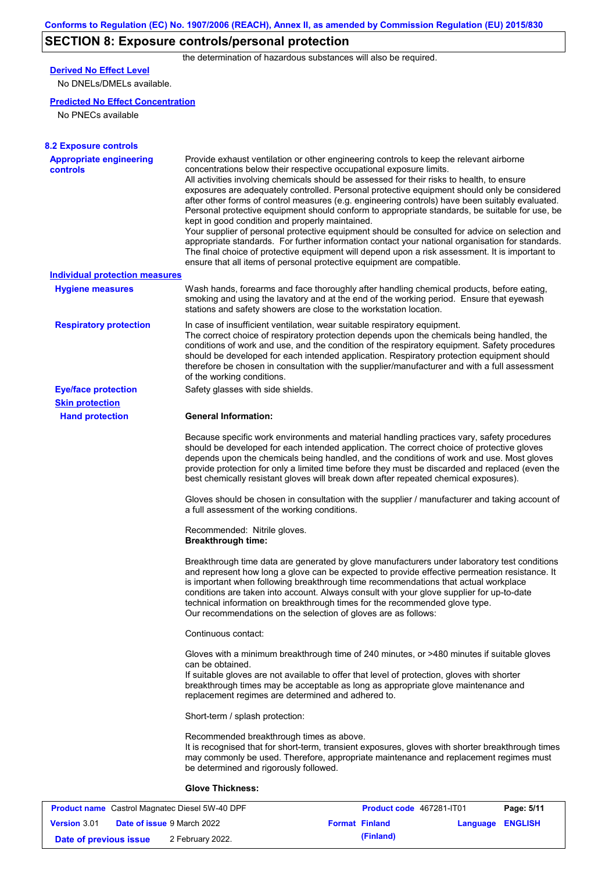# **SECTION 8: Exposure controls/personal protection**

the determination of hazardous substances will also be required.

## **Derived No Effect Level**

No DNELs/DMELs available.

#### **Predicted No Effect Concentration**

No PNECs available

| <b>8.2 Exposure controls</b>                      |                                                                                                                                                                                                                                                                                                                                                                                                                                                                                                                                                                                                                                                                                                                                                                                                                                                                                                                                                                                                         |
|---------------------------------------------------|---------------------------------------------------------------------------------------------------------------------------------------------------------------------------------------------------------------------------------------------------------------------------------------------------------------------------------------------------------------------------------------------------------------------------------------------------------------------------------------------------------------------------------------------------------------------------------------------------------------------------------------------------------------------------------------------------------------------------------------------------------------------------------------------------------------------------------------------------------------------------------------------------------------------------------------------------------------------------------------------------------|
| <b>Appropriate engineering</b><br><b>controls</b> | Provide exhaust ventilation or other engineering controls to keep the relevant airborne<br>concentrations below their respective occupational exposure limits.<br>All activities involving chemicals should be assessed for their risks to health, to ensure<br>exposures are adequately controlled. Personal protective equipment should only be considered<br>after other forms of control measures (e.g. engineering controls) have been suitably evaluated.<br>Personal protective equipment should conform to appropriate standards, be suitable for use, be<br>kept in good condition and properly maintained.<br>Your supplier of personal protective equipment should be consulted for advice on selection and<br>appropriate standards. For further information contact your national organisation for standards.<br>The final choice of protective equipment will depend upon a risk assessment. It is important to<br>ensure that all items of personal protective equipment are compatible. |
| <b>Individual protection measures</b>             |                                                                                                                                                                                                                                                                                                                                                                                                                                                                                                                                                                                                                                                                                                                                                                                                                                                                                                                                                                                                         |
| <b>Hygiene measures</b>                           | Wash hands, forearms and face thoroughly after handling chemical products, before eating,<br>smoking and using the lavatory and at the end of the working period. Ensure that eyewash<br>stations and safety showers are close to the workstation location.                                                                                                                                                                                                                                                                                                                                                                                                                                                                                                                                                                                                                                                                                                                                             |
| <b>Respiratory protection</b>                     | In case of insufficient ventilation, wear suitable respiratory equipment.<br>The correct choice of respiratory protection depends upon the chemicals being handled, the<br>conditions of work and use, and the condition of the respiratory equipment. Safety procedures<br>should be developed for each intended application. Respiratory protection equipment should<br>therefore be chosen in consultation with the supplier/manufacturer and with a full assessment<br>of the working conditions.                                                                                                                                                                                                                                                                                                                                                                                                                                                                                                   |
| <b>Eye/face protection</b>                        | Safety glasses with side shields.                                                                                                                                                                                                                                                                                                                                                                                                                                                                                                                                                                                                                                                                                                                                                                                                                                                                                                                                                                       |
| <b>Skin protection</b>                            |                                                                                                                                                                                                                                                                                                                                                                                                                                                                                                                                                                                                                                                                                                                                                                                                                                                                                                                                                                                                         |
| <b>Hand protection</b>                            | <b>General Information:</b>                                                                                                                                                                                                                                                                                                                                                                                                                                                                                                                                                                                                                                                                                                                                                                                                                                                                                                                                                                             |
|                                                   | Because specific work environments and material handling practices vary, safety procedures<br>should be developed for each intended application. The correct choice of protective gloves<br>depends upon the chemicals being handled, and the conditions of work and use. Most gloves<br>provide protection for only a limited time before they must be discarded and replaced (even the<br>best chemically resistant gloves will break down after repeated chemical exposures).                                                                                                                                                                                                                                                                                                                                                                                                                                                                                                                        |
|                                                   | Gloves should be chosen in consultation with the supplier / manufacturer and taking account of<br>a full assessment of the working conditions.                                                                                                                                                                                                                                                                                                                                                                                                                                                                                                                                                                                                                                                                                                                                                                                                                                                          |
|                                                   | Recommended: Nitrile gloves.<br><b>Breakthrough time:</b>                                                                                                                                                                                                                                                                                                                                                                                                                                                                                                                                                                                                                                                                                                                                                                                                                                                                                                                                               |
|                                                   | Breakthrough time data are generated by glove manufacturers under laboratory test conditions<br>and represent how long a glove can be expected to provide effective permeation resistance. It<br>is important when following breakthrough time recommendations that actual workplace<br>conditions are taken into account. Always consult with your glove supplier for up-to-date<br>technical information on breakthrough times for the recommended glove type.<br>Our recommendations on the selection of gloves are as follows:                                                                                                                                                                                                                                                                                                                                                                                                                                                                      |
|                                                   | Continuous contact:                                                                                                                                                                                                                                                                                                                                                                                                                                                                                                                                                                                                                                                                                                                                                                                                                                                                                                                                                                                     |
|                                                   | Gloves with a minimum breakthrough time of 240 minutes, or >480 minutes if suitable gloves<br>can be obtained.<br>If suitable gloves are not available to offer that level of protection, gloves with shorter<br>breakthrough times may be acceptable as long as appropriate glove maintenance and<br>replacement regimes are determined and adhered to.                                                                                                                                                                                                                                                                                                                                                                                                                                                                                                                                                                                                                                                |
|                                                   | Short-term / splash protection:                                                                                                                                                                                                                                                                                                                                                                                                                                                                                                                                                                                                                                                                                                                                                                                                                                                                                                                                                                         |
|                                                   | Recommended breakthrough times as above.<br>It is recognised that for short-term, transient exposures, gloves with shorter breakthrough times<br>may commonly be used. Therefore, appropriate maintenance and replacement regimes must<br>be determined and rigorously followed.                                                                                                                                                                                                                                                                                                                                                                                                                                                                                                                                                                                                                                                                                                                        |
|                                                   | <b>Glove Thickness:</b>                                                                                                                                                                                                                                                                                                                                                                                                                                                                                                                                                                                                                                                                                                                                                                                                                                                                                                                                                                                 |
|                                                   |                                                                                                                                                                                                                                                                                                                                                                                                                                                                                                                                                                                                                                                                                                                                                                                                                                                                                                                                                                                                         |

|                        | <b>Product name</b> Castrol Magnatec Diesel 5W-40 DPF | <b>Product code</b> 467281-IT01 |                         | Page: 5/11 |
|------------------------|-------------------------------------------------------|---------------------------------|-------------------------|------------|
| <b>Version 3.01</b>    | <b>Date of issue 9 March 2022</b>                     | <b>Format Finland</b>           | <b>Language ENGLISH</b> |            |
| Date of previous issue | 2 February 2022.                                      | (Finland)                       |                         |            |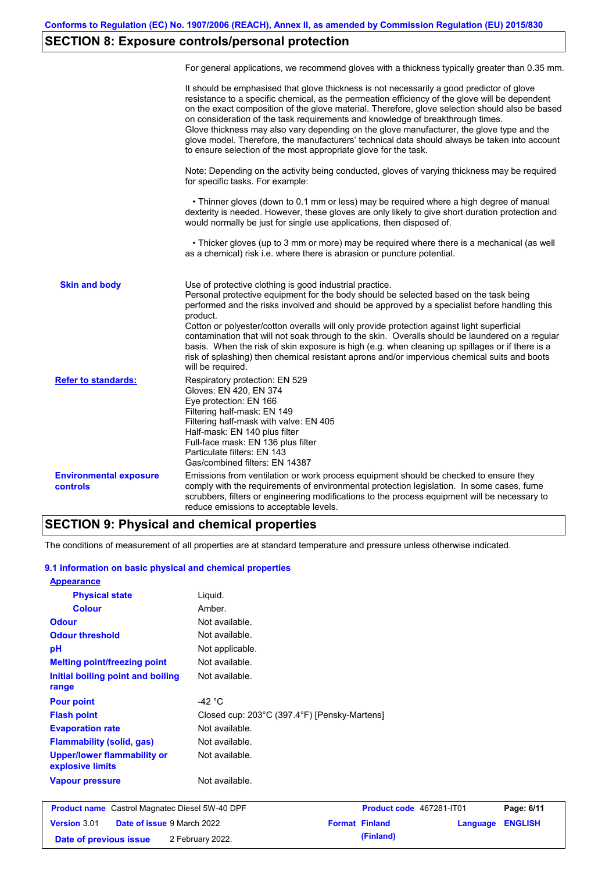## **SECTION 8: Exposure controls/personal protection**

|                                                  | For general applications, we recommend gloves with a thickness typically greater than 0.35 mm.                                                                                                                                                                                                                                                                                                                                                                                                                                                                                                                                                                                        |
|--------------------------------------------------|---------------------------------------------------------------------------------------------------------------------------------------------------------------------------------------------------------------------------------------------------------------------------------------------------------------------------------------------------------------------------------------------------------------------------------------------------------------------------------------------------------------------------------------------------------------------------------------------------------------------------------------------------------------------------------------|
|                                                  | It should be emphasised that glove thickness is not necessarily a good predictor of glove<br>resistance to a specific chemical, as the permeation efficiency of the glove will be dependent<br>on the exact composition of the glove material. Therefore, glove selection should also be based<br>on consideration of the task requirements and knowledge of breakthrough times.<br>Glove thickness may also vary depending on the glove manufacturer, the glove type and the<br>glove model. Therefore, the manufacturers' technical data should always be taken into account<br>to ensure selection of the most appropriate glove for the task.                                     |
|                                                  | Note: Depending on the activity being conducted, gloves of varying thickness may be required<br>for specific tasks. For example:                                                                                                                                                                                                                                                                                                                                                                                                                                                                                                                                                      |
|                                                  | • Thinner gloves (down to 0.1 mm or less) may be required where a high degree of manual<br>dexterity is needed. However, these gloves are only likely to give short duration protection and<br>would normally be just for single use applications, then disposed of.                                                                                                                                                                                                                                                                                                                                                                                                                  |
|                                                  | • Thicker gloves (up to 3 mm or more) may be required where there is a mechanical (as well<br>as a chemical) risk i.e. where there is abrasion or puncture potential.                                                                                                                                                                                                                                                                                                                                                                                                                                                                                                                 |
| <b>Skin and body</b>                             | Use of protective clothing is good industrial practice.<br>Personal protective equipment for the body should be selected based on the task being<br>performed and the risks involved and should be approved by a specialist before handling this<br>product.<br>Cotton or polyester/cotton overalls will only provide protection against light superficial<br>contamination that will not soak through to the skin. Overalls should be laundered on a regular<br>basis. When the risk of skin exposure is high (e.g. when cleaning up spillages or if there is a<br>risk of splashing) then chemical resistant aprons and/or impervious chemical suits and boots<br>will be required. |
| <b>Refer to standards:</b>                       | Respiratory protection: EN 529<br>Gloves: EN 420, EN 374<br>Eye protection: EN 166<br>Filtering half-mask: EN 149<br>Filtering half-mask with valve: EN 405<br>Half-mask: EN 140 plus filter<br>Full-face mask: EN 136 plus filter<br>Particulate filters: EN 143<br>Gas/combined filters: EN 14387                                                                                                                                                                                                                                                                                                                                                                                   |
| <b>Environmental exposure</b><br><b>controls</b> | Emissions from ventilation or work process equipment should be checked to ensure they<br>comply with the requirements of environmental protection legislation. In some cases, fume<br>scrubbers, filters or engineering modifications to the process equipment will be necessary to<br>reduce emissions to acceptable levels.                                                                                                                                                                                                                                                                                                                                                         |

## **SECTION 9: Physical and chemical properties**

The conditions of measurement of all properties are at standard temperature and pressure unless otherwise indicated.

#### **9.1 Information on basic physical and chemical properties**

| <b>Appearance</b>                                      |                                              |                          |          |                |
|--------------------------------------------------------|----------------------------------------------|--------------------------|----------|----------------|
| <b>Physical state</b>                                  | Liquid.                                      |                          |          |                |
| <b>Colour</b>                                          | Amber.                                       |                          |          |                |
| <b>Odour</b>                                           | Not available.                               |                          |          |                |
| <b>Odour threshold</b>                                 | Not available.                               |                          |          |                |
| pH                                                     | Not applicable.                              |                          |          |                |
| <b>Melting point/freezing point</b>                    | Not available.                               |                          |          |                |
| Initial boiling point and boiling<br>range             | Not available.                               |                          |          |                |
| <b>Pour point</b>                                      | -42 $^{\circ}$ C                             |                          |          |                |
| <b>Flash point</b>                                     | Closed cup: 203°C (397.4°F) [Pensky-Martens] |                          |          |                |
| <b>Evaporation rate</b>                                | Not available.                               |                          |          |                |
| <b>Flammability (solid, gas)</b>                       | Not available.                               |                          |          |                |
| <b>Upper/lower flammability or</b><br>explosive limits | Not available.                               |                          |          |                |
| <b>Vapour pressure</b>                                 | Not available.                               |                          |          |                |
| <b>Product name</b> Castrol Magnatec Diesel 5W-40 DPF  |                                              | Product code 467281-IT01 |          | Page: 6/11     |
| <b>Version 3.01</b><br>Date of issue 9 March 2022      |                                              | <b>Format Finland</b>    | Language | <b>ENGLISH</b> |

| .                      |                                   |                       |           |                         |
|------------------------|-----------------------------------|-----------------------|-----------|-------------------------|
| ersion 3.01            | <b>Date of issue 9 March 2022</b> | <b>Format Finland</b> |           | <b>Language ENGLISH</b> |
| Date of previous issue | 2 February 2022.                  |                       | (Finland) |                         |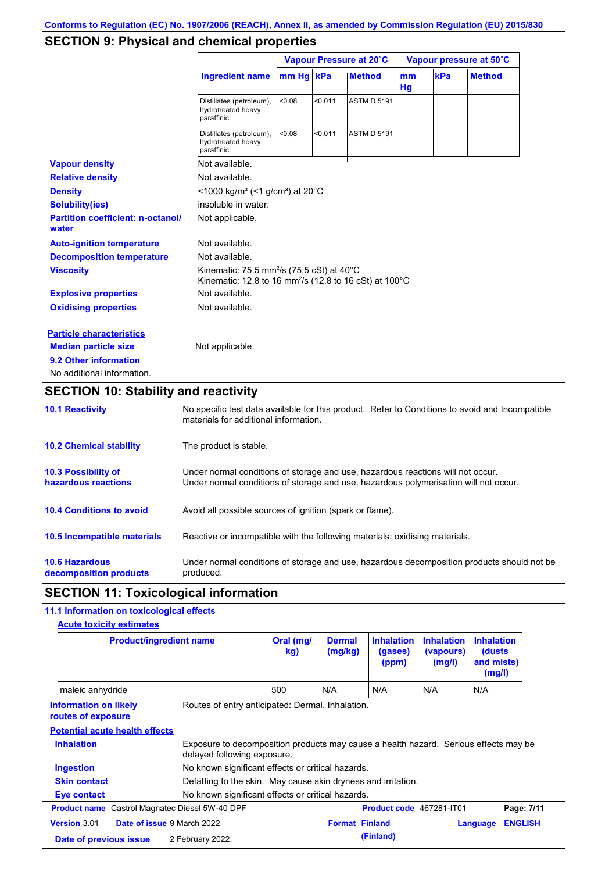## **SECTION 9: Physical and chemical properties**

|                                                   |                                                                                                                                        |           |         | Vapour Pressure at 20°C |          |     | Vapour pressure at 50°C |
|---------------------------------------------------|----------------------------------------------------------------------------------------------------------------------------------------|-----------|---------|-------------------------|----------|-----|-------------------------|
|                                                   | <b>Ingredient name</b>                                                                                                                 | mm Hg kPa |         | <b>Method</b>           | mm<br>Hg | kPa | <b>Method</b>           |
|                                                   | Distillates (petroleum),<br>hydrotreated heavy<br>paraffinic                                                                           | < 0.08    | < 0.011 | <b>ASTM D 5191</b>      |          |     |                         |
|                                                   | Distillates (petroleum),<br>hydrotreated heavy<br>paraffinic                                                                           | < 0.08    | < 0.011 | <b>ASTM D 5191</b>      |          |     |                         |
| <b>Vapour density</b>                             | Not available.                                                                                                                         |           |         |                         |          |     |                         |
| <b>Relative density</b>                           | Not available.                                                                                                                         |           |         |                         |          |     |                         |
| <b>Density</b>                                    | $<$ 1000 kg/m <sup>3</sup> (<1 g/cm <sup>3</sup> ) at 20 <sup>°</sup> C                                                                |           |         |                         |          |     |                         |
| <b>Solubility(ies)</b>                            | insoluble in water.                                                                                                                    |           |         |                         |          |     |                         |
| <b>Partition coefficient: n-octanol/</b><br>water | Not applicable.                                                                                                                        |           |         |                         |          |     |                         |
| <b>Auto-ignition temperature</b>                  | Not available.                                                                                                                         |           |         |                         |          |     |                         |
| <b>Decomposition temperature</b>                  | Not available.                                                                                                                         |           |         |                         |          |     |                         |
| <b>Viscosity</b>                                  | Kinematic: 75.5 mm <sup>2</sup> /s (75.5 cSt) at $40^{\circ}$ C<br>Kinematic: 12.8 to 16 mm <sup>2</sup> /s (12.8 to 16 cSt) at 100 °C |           |         |                         |          |     |                         |
| <b>Explosive properties</b>                       | Not available.                                                                                                                         |           |         |                         |          |     |                         |
| <b>Oxidising properties</b>                       | Not available.                                                                                                                         |           |         |                         |          |     |                         |
| <b>Particle characteristics</b>                   |                                                                                                                                        |           |         |                         |          |     |                         |
| <b>Median particle size</b>                       | Not applicable.                                                                                                                        |           |         |                         |          |     |                         |
| 9.2 Other information                             |                                                                                                                                        |           |         |                         |          |     |                         |
| No additional information.                        |                                                                                                                                        |           |         |                         |          |     |                         |

# **SECTION 10: Stability and reactivity**

| <b>10.1 Reactivity</b>                            | No specific test data available for this product. Refer to Conditions to avoid and Incompatible<br>materials for additional information.                                |
|---------------------------------------------------|-------------------------------------------------------------------------------------------------------------------------------------------------------------------------|
| <b>10.2 Chemical stability</b>                    | The product is stable.                                                                                                                                                  |
| <b>10.3 Possibility of</b><br>hazardous reactions | Under normal conditions of storage and use, hazardous reactions will not occur.<br>Under normal conditions of storage and use, hazardous polymerisation will not occur. |
| <b>10.4 Conditions to avoid</b>                   | Avoid all possible sources of ignition (spark or flame).                                                                                                                |
| <b>10.5 Incompatible materials</b>                | Reactive or incompatible with the following materials: oxidising materials.                                                                                             |
| <b>10.6 Hazardous</b><br>decomposition products   | Under normal conditions of storage and use, hazardous decomposition products should not be<br>produced.                                                                 |

## **SECTION 11: Toxicological information**

### **11.1 Information on toxicological effects**

**Acute toxicity estimates**

| <b>Product/ingredient name</b>                        |                                                                                                                     | Oral (mg/<br>kg) | <b>Dermal</b><br>(mg/kg) | <b>Inhalation</b><br>(gases)<br>(ppm) | <b>Inhalation</b><br>(vapours)<br>(mg/l) | <b>Inhalation</b><br>(dusts)<br>and mists)<br>(mg/l) |                              |
|-------------------------------------------------------|---------------------------------------------------------------------------------------------------------------------|------------------|--------------------------|---------------------------------------|------------------------------------------|------------------------------------------------------|------------------------------|
| maleic anhydride                                      |                                                                                                                     | 500              | N/A                      | N/A                                   | N/A                                      | N/A                                                  |                              |
| <b>Information on likely</b><br>routes of exposure    | Routes of entry anticipated: Dermal, Inhalation.                                                                    |                  |                          |                                       |                                          |                                                      |                              |
|                                                       |                                                                                                                     |                  |                          |                                       |                                          |                                                      |                              |
| <b>Potential acute health effects</b>                 |                                                                                                                     |                  |                          |                                       |                                          |                                                      |                              |
| <b>Inhalation</b>                                     | Exposure to decomposition products may cause a health hazard. Serious effects may be<br>delayed following exposure. |                  |                          |                                       |                                          |                                                      |                              |
| <b>Ingestion</b>                                      | No known significant effects or critical hazards.                                                                   |                  |                          |                                       |                                          |                                                      |                              |
| <b>Skin contact</b>                                   | Defatting to the skin. May cause skin dryness and irritation.                                                       |                  |                          |                                       |                                          |                                                      |                              |
| Eye contact                                           | No known significant effects or critical hazards.                                                                   |                  |                          |                                       |                                          |                                                      |                              |
| <b>Product name</b> Castrol Magnatec Diesel 5W-40 DPF |                                                                                                                     |                  |                          | <b>Product code</b> 467281-IT01       |                                          |                                                      |                              |
| Date of issue 9 March 2022<br>Version 3.01            |                                                                                                                     |                  | <b>Format Finland</b>    |                                       |                                          | Language                                             | Page: 7/11<br><b>ENGLISH</b> |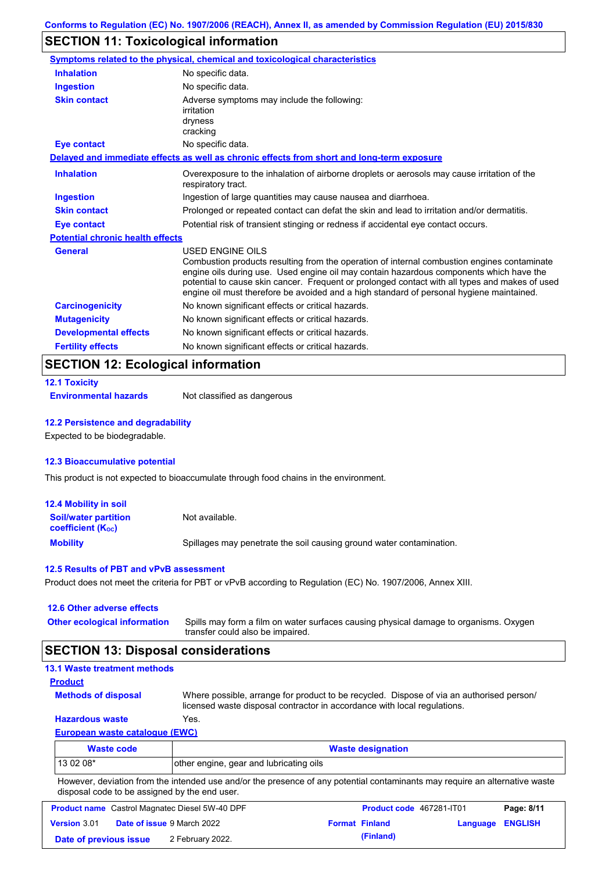## **SECTION 11: Toxicological information**

|                                         | Symptoms related to the physical, chemical and toxicological characteristics                                                                                                                                                                                                                                                                                                                                    |
|-----------------------------------------|-----------------------------------------------------------------------------------------------------------------------------------------------------------------------------------------------------------------------------------------------------------------------------------------------------------------------------------------------------------------------------------------------------------------|
| <b>Inhalation</b>                       | No specific data.                                                                                                                                                                                                                                                                                                                                                                                               |
| <b>Ingestion</b>                        | No specific data.                                                                                                                                                                                                                                                                                                                                                                                               |
| <b>Skin contact</b>                     | Adverse symptoms may include the following:<br>irritation<br>dryness<br>cracking                                                                                                                                                                                                                                                                                                                                |
| <b>Eye contact</b>                      | No specific data.                                                                                                                                                                                                                                                                                                                                                                                               |
|                                         | Delayed and immediate effects as well as chronic effects from short and long-term exposure                                                                                                                                                                                                                                                                                                                      |
| <b>Inhalation</b>                       | Overexposure to the inhalation of airborne droplets or aerosols may cause irritation of the<br>respiratory tract.                                                                                                                                                                                                                                                                                               |
| <b>Ingestion</b>                        | Ingestion of large quantities may cause nausea and diarrhoea.                                                                                                                                                                                                                                                                                                                                                   |
| <b>Skin contact</b>                     | Prolonged or repeated contact can defat the skin and lead to irritation and/or dermatitis.                                                                                                                                                                                                                                                                                                                      |
| <b>Eye contact</b>                      | Potential risk of transient stinging or redness if accidental eye contact occurs.                                                                                                                                                                                                                                                                                                                               |
| <b>Potential chronic health effects</b> |                                                                                                                                                                                                                                                                                                                                                                                                                 |
| <b>General</b>                          | <b>USED ENGINE OILS</b><br>Combustion products resulting from the operation of internal combustion engines contaminate<br>engine oils during use. Used engine oil may contain hazardous components which have the<br>potential to cause skin cancer. Frequent or prolonged contact with all types and makes of used<br>engine oil must therefore be avoided and a high standard of personal hygiene maintained. |
| <b>Carcinogenicity</b>                  | No known significant effects or critical hazards.                                                                                                                                                                                                                                                                                                                                                               |
| <b>Mutagenicity</b>                     | No known significant effects or critical hazards.                                                                                                                                                                                                                                                                                                                                                               |
| <b>Developmental effects</b>            | No known significant effects or critical hazards.                                                                                                                                                                                                                                                                                                                                                               |
| <b>Fertility effects</b>                | No known significant effects or critical hazards.                                                                                                                                                                                                                                                                                                                                                               |

## **SECTION 12: Ecological information**

|  | <b>12.1 Toxicity</b> |  |  |
|--|----------------------|--|--|
|  |                      |  |  |

**Environmental hazards** Not classified as dangerous

#### **12.2 Persistence and degradability**

Expected to be biodegradable.

#### **12.3 Bioaccumulative potential**

This product is not expected to bioaccumulate through food chains in the environment.

| 12.4 Mobility in soil                                         |                                                                      |
|---------------------------------------------------------------|----------------------------------------------------------------------|
| <b>Soil/water partition</b><br>coefficient (K <sub>oc</sub> ) | Not available.                                                       |
| <b>Mobility</b>                                               | Spillages may penetrate the soil causing ground water contamination. |

#### **12.5 Results of PBT and vPvB assessment**

Product does not meet the criteria for PBT or vPvB according to Regulation (EC) No. 1907/2006, Annex XIII.

#### **12.6 Other adverse effects Other ecological information**

Spills may form a film on water surfaces causing physical damage to organisms. Oxygen transfer could also be impaired.

#### **SECTION 13: Disposal considerations**

| <b>13.1 Waste treatment methods</b>   |                                                                                                                                                                      |
|---------------------------------------|----------------------------------------------------------------------------------------------------------------------------------------------------------------------|
| <b>Product</b>                        |                                                                                                                                                                      |
| <b>Methods of disposal</b>            | Where possible, arrange for product to be recycled. Dispose of via an authorised person/<br>licensed waste disposal contractor in accordance with local regulations. |
| <b>Hazardous waste</b>                | Yes.                                                                                                                                                                 |
| <b>European waste catalogue (EWC)</b> |                                                                                                                                                                      |
| <b>Waste code</b>                     | <b>Waste designation</b>                                                                                                                                             |
| 13 02 08*                             | other engine, gear and lubricating oils                                                                                                                              |

However, deviation from the intended use and/or the presence of any potential contaminants may require an alternative waste disposal code to be assigned by the end user.

| <b>Product name</b> Castrol Magnatec Diesel 5W-40 DPF |  |                                   | Product code 467281-IT01 |                       | Page: 8/11              |  |
|-------------------------------------------------------|--|-----------------------------------|--------------------------|-----------------------|-------------------------|--|
| <b>Version 3.01</b>                                   |  | <b>Date of issue 9 March 2022</b> |                          | <b>Format Finland</b> | <b>Language ENGLISH</b> |  |
| Date of previous issue                                |  | 2 February 2022.                  |                          | (Finland)             |                         |  |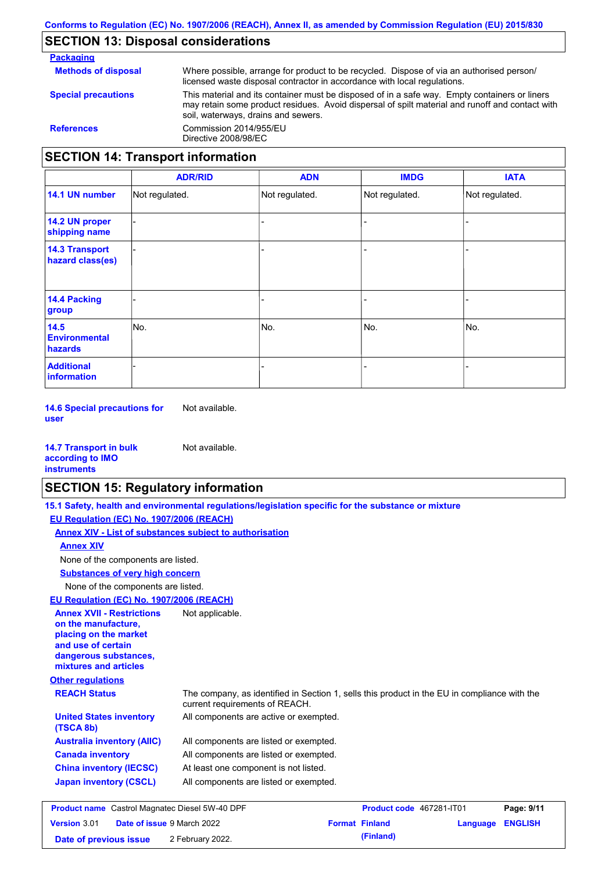### **SECTION 13: Disposal considerations**

**Packaging Methods of disposal Special precautions** Where possible, arrange for product to be recycled. Dispose of via an authorised person/ licensed waste disposal contractor in accordance with local regulations. This material and its container must be disposed of in a safe way. Empty containers or liners may retain some product residues. Avoid dispersal of spilt material and runoff and contact with soil, waterways, drains and sewers. **References** Commission 2014/955/EU Directive 2008/98/EC **SECTION 14: Transport information**

|                                           | <b>ADR/RID</b> | <b>ADN</b>     | <b>IMDG</b>    | <b>IATA</b>    |
|-------------------------------------------|----------------|----------------|----------------|----------------|
| 14.1 UN number                            | Not regulated. | Not regulated. | Not regulated. | Not regulated. |
| 14.2 UN proper<br>shipping name           |                |                | -              |                |
| <b>14.3 Transport</b><br>hazard class(es) |                |                | -              |                |
| 14.4 Packing<br>group                     |                |                | -              |                |
| 14.5<br><b>Environmental</b><br>hazards   | No.            | No.            | No.            | No.            |
| <b>Additional</b><br><b>information</b>   |                |                |                |                |

**14.6 Special precautions for user** Not available.

| <b>14.7 Transport in bulk</b> | Not available. |
|-------------------------------|----------------|
| according to <b>IMO</b>       |                |
| <b>instruments</b>            |                |

### **SECTION 15: Regulatory information**

**Other regulations REACH Status** The company, as identified in Section 1, sells this product in the EU in compliance with the current requirements of REACH. **15.1 Safety, health and environmental regulations/legislation specific for the substance or mixture EU Regulation (EC) No. 1907/2006 (REACH) Annex XIV - List of substances subject to authorisation Substances of very high concern** None of the components are listed. All components are listed or exempted. All components are listed or exempted. At least one component is not listed. All components are listed or exempted. **United States inventory** All components are active or exempted. **(TSCA 8b) Australia inventory (AIIC) Canada inventory China inventory (IECSC) Japan inventory (CSCL)** None of the components are listed. **Annex XIV EU Regulation (EC) No. 1907/2006 (REACH) Annex XVII - Restrictions on the manufacture, placing on the market and use of certain dangerous substances, mixtures and articles** Not applicable. **Product name** Castrol Magnatec Diesel 5W-40 DPF **Product code** 467281-IT01 **Page: 9/11**

|                        | <b>Product name</b> Castrol Magnatec Diesel 5W-40 DPF | <b>Product code</b> 46/281-1101 |                  | Page: 9/11 |
|------------------------|-------------------------------------------------------|---------------------------------|------------------|------------|
| <b>Version 3.01</b>    | <b>Date of issue 9 March 2022</b>                     | <b>Format Finland</b>           | Language ENGLISH |            |
| Date of previous issue | 2 February 2022.                                      | (Finland)                       |                  |            |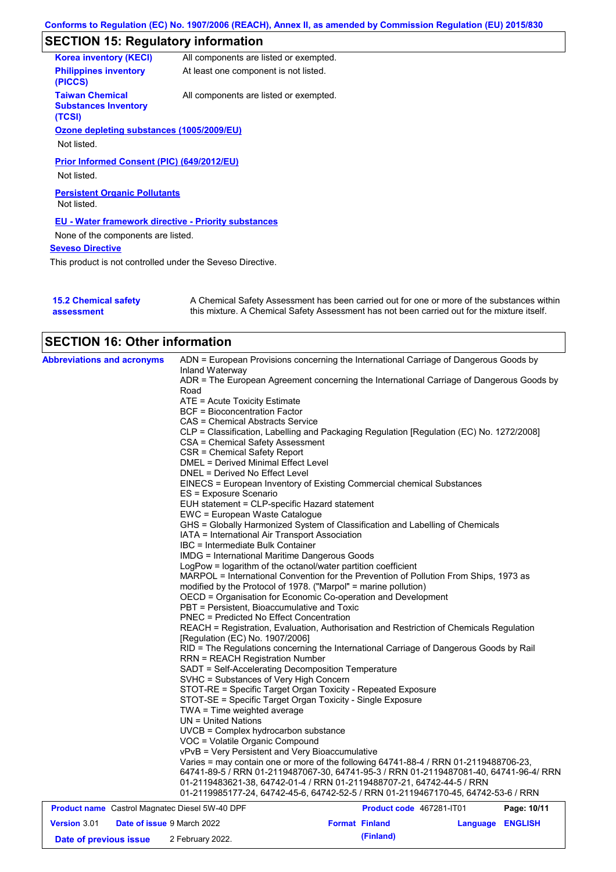# **SECTION 15: Regulatory information**

| <b>Korea inventory (KECI)</b>                                   | All components are listed or exempted. |
|-----------------------------------------------------------------|----------------------------------------|
| <b>Philippines inventory</b><br>(PICCS)                         | At least one component is not listed.  |
| <b>Taiwan Chemical</b><br><b>Substances Inventory</b><br>(TCSI) | All components are listed or exempted. |
| Ozone depleting substances (1005/2009/EU)                       |                                        |
| Not listed.                                                     |                                        |
| <b>Prior Informed Consent (PIC) (649/2012/EU)</b>               |                                        |
| Not listed.                                                     |                                        |
| <b>Persistent Organic Pollutants</b><br>Not listed.             |                                        |
| <b>EU - Water framework directive - Priority substances</b>     |                                        |
| None of the components are listed.                              |                                        |
| <b>Seveso Directive</b>                                         |                                        |
| This product is not controlled under the Seveso Directive.      |                                        |
|                                                                 |                                        |

| <b>15.2 Chemical safety</b> | A Chemical Safety Assessment has been carried out for one or more of the substances within  |
|-----------------------------|---------------------------------------------------------------------------------------------|
| assessment                  | this mixture. A Chemical Safety Assessment has not been carried out for the mixture itself. |

# **SECTION 16: Other information**

| <b>Abbreviations and acronyms</b>                     | ADN = European Provisions concerning the International Carriage of Dangerous Goods by<br>Inland Waterway<br>ADR = The European Agreement concerning the International Carriage of Dangerous Goods by<br>Road |
|-------------------------------------------------------|--------------------------------------------------------------------------------------------------------------------------------------------------------------------------------------------------------------|
|                                                       | ATE = Acute Toxicity Estimate                                                                                                                                                                                |
|                                                       | <b>BCF</b> = Bioconcentration Factor                                                                                                                                                                         |
|                                                       | <b>CAS = Chemical Abstracts Service</b>                                                                                                                                                                      |
|                                                       | CLP = Classification, Labelling and Packaging Regulation [Regulation (EC) No. 1272/2008]<br>CSA = Chemical Safety Assessment                                                                                 |
|                                                       | CSR = Chemical Safety Report                                                                                                                                                                                 |
|                                                       | <b>DMEL = Derived Minimal Effect Level</b>                                                                                                                                                                   |
|                                                       | DNEL = Derived No Effect Level                                                                                                                                                                               |
|                                                       | EINECS = European Inventory of Existing Commercial chemical Substances<br>ES = Exposure Scenario                                                                                                             |
|                                                       | EUH statement = CLP-specific Hazard statement                                                                                                                                                                |
|                                                       | EWC = European Waste Catalogue                                                                                                                                                                               |
|                                                       | GHS = Globally Harmonized System of Classification and Labelling of Chemicals                                                                                                                                |
|                                                       | IATA = International Air Transport Association                                                                                                                                                               |
|                                                       | IBC = Intermediate Bulk Container                                                                                                                                                                            |
|                                                       | <b>IMDG = International Maritime Dangerous Goods</b>                                                                                                                                                         |
|                                                       | LogPow = logarithm of the octanol/water partition coefficient                                                                                                                                                |
|                                                       | MARPOL = International Convention for the Prevention of Pollution From Ships, 1973 as                                                                                                                        |
|                                                       | modified by the Protocol of 1978. ("Marpol" = marine pollution)                                                                                                                                              |
|                                                       | OECD = Organisation for Economic Co-operation and Development                                                                                                                                                |
|                                                       | PBT = Persistent, Bioaccumulative and Toxic                                                                                                                                                                  |
|                                                       | <b>PNEC = Predicted No Effect Concentration</b>                                                                                                                                                              |
|                                                       | REACH = Registration, Evaluation, Authorisation and Restriction of Chemicals Regulation<br>[Regulation (EC) No. 1907/2006]                                                                                   |
|                                                       | RID = The Regulations concerning the International Carriage of Dangerous Goods by Rail<br><b>RRN = REACH Registration Number</b>                                                                             |
|                                                       | SADT = Self-Accelerating Decomposition Temperature                                                                                                                                                           |
|                                                       | SVHC = Substances of Very High Concern                                                                                                                                                                       |
|                                                       | STOT-RE = Specific Target Organ Toxicity - Repeated Exposure                                                                                                                                                 |
|                                                       | STOT-SE = Specific Target Organ Toxicity - Single Exposure                                                                                                                                                   |
|                                                       | TWA = Time weighted average                                                                                                                                                                                  |
|                                                       | UN = United Nations                                                                                                                                                                                          |
|                                                       | UVCB = Complex hydrocarbon substance                                                                                                                                                                         |
|                                                       | VOC = Volatile Organic Compound                                                                                                                                                                              |
|                                                       | vPvB = Very Persistent and Very Bioaccumulative                                                                                                                                                              |
|                                                       | Varies = may contain one or more of the following 64741-88-4 / RRN 01-2119488706-23,<br>64741-89-5 / RRN 01-2119487067-30, 64741-95-3 / RRN 01-2119487081-40, 64741-96-4/ RRN                                |
|                                                       | 01-2119483621-38, 64742-01-4 / RRN 01-2119488707-21, 64742-44-5 / RRN<br>01-2119985177-24, 64742-45-6, 64742-52-5 / RRN 01-2119467170-45, 64742-53-6 / RRN                                                   |
| <b>Product name</b> Castrol Magnatec Diesel 5W-40 DPF | Page: 10/11<br>Product code 467281-IT01                                                                                                                                                                      |

| Version 3.01           | <b>Date of issue 9 March 2022</b> | <b>Format Finland</b> | <b>Language ENGLISH</b> |
|------------------------|-----------------------------------|-----------------------|-------------------------|
| Date of previous issue | 2 February 2022.                  | (Finland)             |                         |